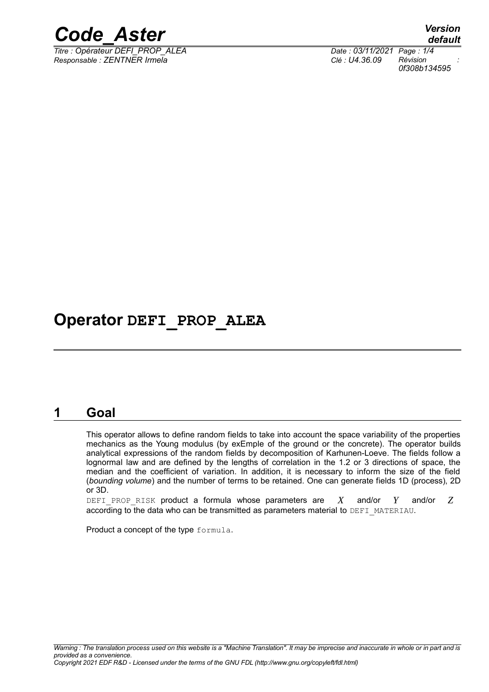

*Titre : Opérateur DEFI\_PROP\_ALEA Date : 03/11/2021 Page : 1/4 Responsable : ZENTNER Irmela Clé : U4.36.09 Révision :*

*default 0f308b134595*

## **Operator DEFI\_PROP\_ALEA**

#### **1 Goal**

This operator allows to define random fields to take into account the space variability of the properties mechanics as the Young modulus (by exEmple of the ground or the concrete). The operator builds analytical expressions of the random fields by decomposition of Karhunen-Loeve. The fields follow a lognormal law and are defined by the lengths of correlation in the 1.2 or 3 directions of space, the median and the coefficient of variation. In addition, it is necessary to inform the size of the field (*bounding volume*) and the number of terms to be retained. One can generate fields 1D (process), 2D or 3D.

DEFI PROP RISK product a formula whose parameters are  $X$  and/or  $Y$  and/or  $Z$ according to the data who can be transmitted as parameters material to DEFI\_MATERIAU.

Product a concept of the type formula.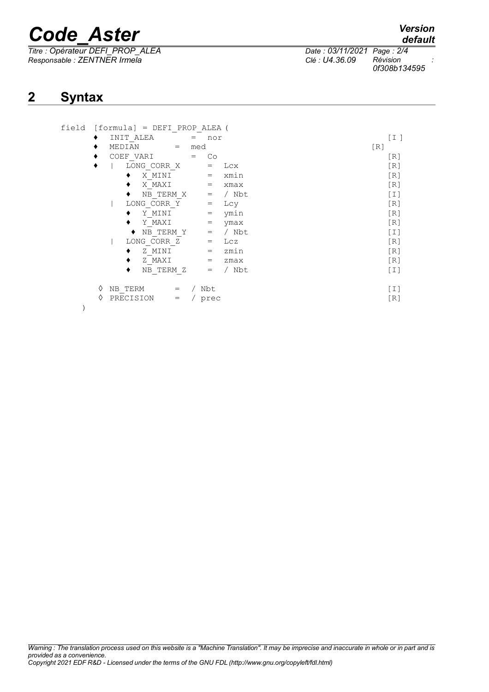# *Code\_Aster Version*

*Titre : Opérateur DEFI\_PROP\_ALEA Date : 03/11/2021 Page : 2/4 Responsable : ZENTNER Irmela Clé : U4.36.09 Révision :*

*0f308b134595*

### **2 Syntax**

| field |   | $[formula] = DEFI PROP ALEA$<br>INIT ALEA<br>nor<br>$=$   | [I]              |
|-------|---|-----------------------------------------------------------|------------------|
|       |   | MEDIAN<br>med<br>$=$                                      | [R]              |
|       |   | COEF VARI<br>Co<br>$=$                                    | [R]              |
|       |   | LONG CORR X<br>Lcx<br>$=$                                 | [R]              |
|       |   | xmin<br>X MINI<br>$=$                                     | [R]              |
|       |   | X MAXI<br>$=$<br>xmax                                     | [R]              |
|       |   | NB TERM X<br>/ Nbt<br>$=$                                 | [T]              |
|       |   | LONG CORR Y<br>Lcy<br>$\hspace{1.6cm} = \hspace{1.6cm}$   | [R]              |
|       |   | ymin<br>Y MINI<br>$\hspace{1.6cm} = \hspace{1.6cm}$       | [R]              |
|       |   | Y MAXI<br>ymax<br>$=$                                     | [R]              |
|       |   | / Nbt<br>NB TERM Y<br>$\hspace{1.6cm} = \hspace{1.6cm}$   | [I]              |
|       |   | LONG CORR Z<br>Lcz<br>$\hspace*{0.4em} = \hspace*{0.4em}$ | [R]              |
|       |   | zmin<br>Z MINI<br>$=$                                     | [R]              |
|       |   | Z MAXI<br>zmax<br>$=$                                     | [R]              |
|       |   | / Nbt<br>NB TERM Z<br>$=$                                 | $\left[1\right]$ |
|       | ♦ | NB TERM<br>/ Nbt<br>$=$                                   | [I]              |
|       | ♦ | PRECISION<br>/ prec<br>$=$                                | [R]              |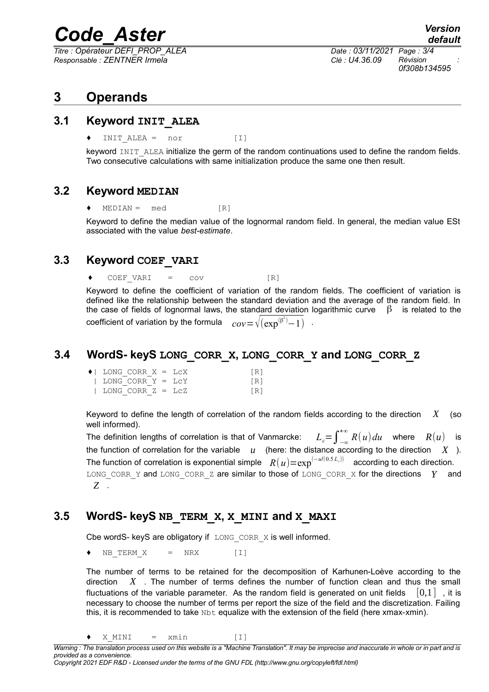# *Code\_Aster Version*

*Titre : Opérateur DEFI\_PROP\_ALEA Date : 03/11/2021 Page : 3/4 Responsable : ZENTNER Irmela Clé : U4.36.09 Révision :*

*0f308b134595*

### **3 Operands**

#### **3.1 Keyword INIT\_ALEA**

 $INT\text{ }ALEA = nor$  [I]

keyword INIT\_ALEA initialize the germ of the random continuations used to define the random fields. Two consecutive calculations with same initialization produce the same one then result.

#### **3.2 Keyword MEDIAN**

 $MEDIAN = med$  [R]

Keyword to define the median value of the lognormal random field. In general, the median value ESt associated with the value *best-estimate*.

#### **3.3 Keyword COEF\_VARI**

 $COEF$  VARI =  $cov$  [R]

Keyword to define the coefficient of variation of the random fields. The coefficient of variation is defined like the relationship between the standard deviation and the average of the random field. In the case of fields of lognormal laws, the standard deviation logarithmic curve  $\beta$  is related to the coefficient of variation by the formula  $^{(\beta^2)}-1)$  .

#### **3.4 WordS- keyS LONG\_CORR\_X, LONG\_CORR\_Y and LONG\_CORR\_Z**

| $\bullet$   LONG CORR X = LCX | TR1 |
|-------------------------------|-----|
| LONG CORR $Y = LCY$           | TR1 |
| LONG CORR $Z = LCZ$           | [R] |

Keyword to define the length of correlation of the random fields according to the direction *X* (so well informed).

The definition lengths of correlation is that of Vanmarcke:<br>*the function of correlation for the variable u* (here: the  $\int_{0}^{+\infty} R(u) du$  where  $R(u)$  is  $u$  (here: the distance according to the direction  $X$ ). The function of correlation is exponential simple  $R(u)\text{=}\exp ^{(-u/(0.5\, L_c))}$  according to each direction. LONG CORR Y and LONG CORR Z are similar to those of LONG CORR X for the directions *Y* and *Z* .

#### **3.5 WordS- keyS NB\_TERM\_X, X\_MINI and X\_MAXI**

Cbe wordS- keyS are obligatory if  $LONG CORR/X$  is well informed.

 $NB$  TERM  $X$  = NRX [I]

The number of terms to be retained for the decomposition of Karhunen-Loève according to the direction *X* . The number of terms defines the number of function clean and thus the small fluctuations of the variable parameter. As the random field is generated on unit fields  $[0,1]$ , it is necessary to choose the number of terms per report the size of the field and the discretization. Failing this, it is recommended to take  $Nbt$  equalize with the extension of the field (here xmax-xmin).

 $\bullet$  X MINI = xmin [I]

*Warning : The translation process used on this website is a "Machine Translation". It may be imprecise and inaccurate in whole or in part and is provided as a convenience. Copyright 2021 EDF R&D - Licensed under the terms of the GNU FDL (http://www.gnu.org/copyleft/fdl.html)*